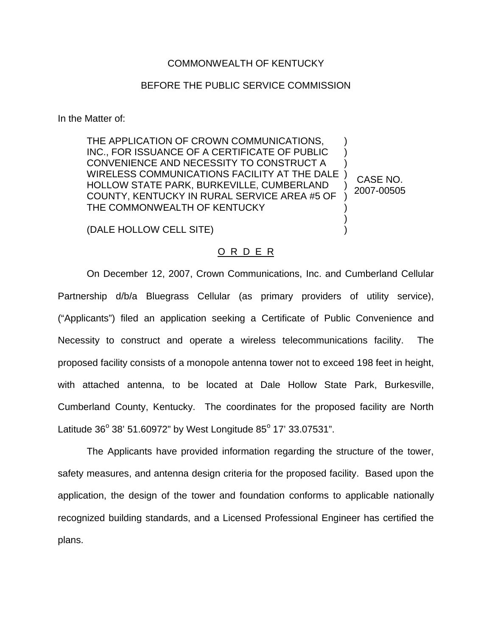## COMMONWEALTH OF KENTUCKY

## BEFORE THE PUBLIC SERVICE COMMISSION

In the Matter of:

THE APPLICATION OF CROWN COMMUNICATIONS, INC., FOR ISSUANCE OF A CERTIFICATE OF PUBLIC CONVENIENCE AND NECESSITY TO CONSTRUCT A WIRELESS COMMUNICATIONS FACILITY AT THE DALE ) HOLLOW STATE PARK, BURKEVILLE, CUMBERLAND COUNTY, KENTUCKY IN RURAL SERVICE AREA #5 OF THE COMMONWEALTH OF KENTUCKY ) ) ) ) ) ) CASE NO. 2007-00505

(DALE HOLLOW CELL SITE)

## O R D E R

) )

On December 12, 2007, Crown Communications, Inc. and Cumberland Cellular Partnership d/b/a Bluegrass Cellular (as primary providers of utility service), ("Applicants") filed an application seeking a Certificate of Public Convenience and Necessity to construct and operate a wireless telecommunications facility. The proposed facility consists of a monopole antenna tower not to exceed 198 feet in height, with attached antenna, to be located at Dale Hollow State Park, Burkesville, Cumberland County, Kentucky. The coordinates for the proposed facility are North Latitude  $36^{\circ}$  38' 51.60972" by West Longitude  $85^{\circ}$  17' 33.07531".

The Applicants have provided information regarding the structure of the tower, safety measures, and antenna design criteria for the proposed facility. Based upon the application, the design of the tower and foundation conforms to applicable nationally recognized building standards, and a Licensed Professional Engineer has certified the plans.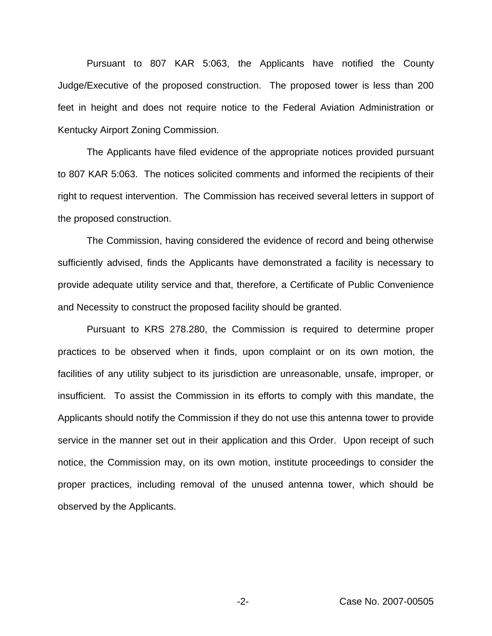Pursuant to 807 KAR 5:063, the Applicants have notified the County Judge/Executive of the proposed construction. The proposed tower is less than 200 feet in height and does not require notice to the Federal Aviation Administration or Kentucky Airport Zoning Commission.

The Applicants have filed evidence of the appropriate notices provided pursuant to 807 KAR 5:063. The notices solicited comments and informed the recipients of their right to request intervention. The Commission has received several letters in support of the proposed construction.

The Commission, having considered the evidence of record and being otherwise sufficiently advised, finds the Applicants have demonstrated a facility is necessary to provide adequate utility service and that, therefore, a Certificate of Public Convenience and Necessity to construct the proposed facility should be granted.

Pursuant to KRS 278.280, the Commission is required to determine proper practices to be observed when it finds, upon complaint or on its own motion, the facilities of any utility subject to its jurisdiction are unreasonable, unsafe, improper, or insufficient. To assist the Commission in its efforts to comply with this mandate, the Applicants should notify the Commission if they do not use this antenna tower to provide service in the manner set out in their application and this Order. Upon receipt of such notice, the Commission may, on its own motion, institute proceedings to consider the proper practices, including removal of the unused antenna tower, which should be observed by the Applicants.